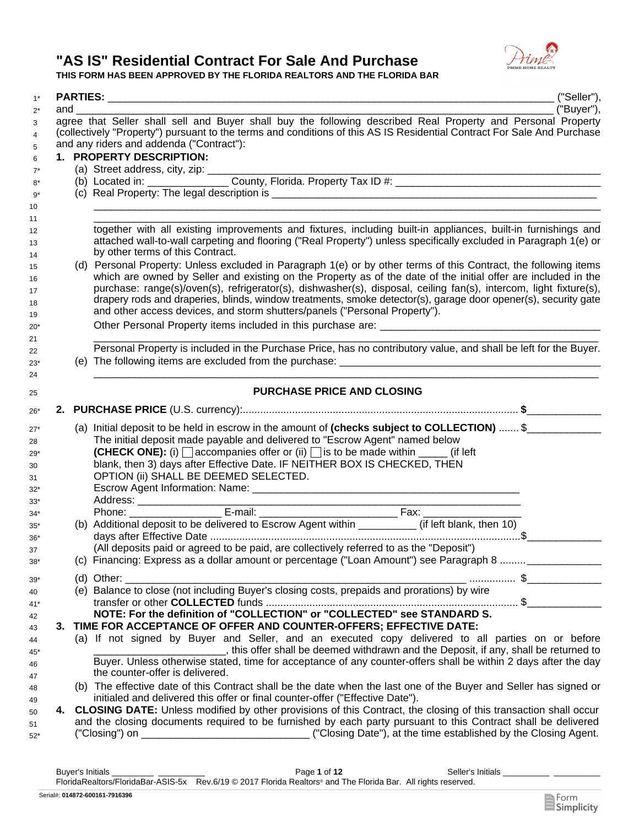# **"AS IS" Residential Contract For Sale And Purchase**



## **THIS FORM HAS BEEN APPROVED BY THE FLORIDA REALTORS AND THE FLORIDA BAR**

| and<br>agree that Seller shall sell and Buyer shall buy the following described Real Property and Personal Property                                                                                                                                                                                                                                                                                                                                                                                                                                     | $($ "Buyer"), |
|---------------------------------------------------------------------------------------------------------------------------------------------------------------------------------------------------------------------------------------------------------------------------------------------------------------------------------------------------------------------------------------------------------------------------------------------------------------------------------------------------------------------------------------------------------|---------------|
| (collectively "Property") pursuant to the terms and conditions of this AS IS Residential Contract For Sale And Purchase<br>and any riders and addenda ("Contract"):                                                                                                                                                                                                                                                                                                                                                                                     |               |
| 1. PROPERTY DESCRIPTION:                                                                                                                                                                                                                                                                                                                                                                                                                                                                                                                                |               |
|                                                                                                                                                                                                                                                                                                                                                                                                                                                                                                                                                         |               |
|                                                                                                                                                                                                                                                                                                                                                                                                                                                                                                                                                         |               |
|                                                                                                                                                                                                                                                                                                                                                                                                                                                                                                                                                         |               |
| together with all existing improvements and fixtures, including built-in appliances, built-in furnishings and<br>attached wall-to-wall carpeting and flooring ("Real Property") unless specifically excluded in Paragraph 1(e) or<br>by other terms of this Contract.                                                                                                                                                                                                                                                                                   |               |
| (d) Personal Property: Unless excluded in Paragraph 1(e) or by other terms of this Contract, the following items<br>which are owned by Seller and existing on the Property as of the date of the initial offer are included in the<br>purchase: range(s)/oven(s), refrigerator(s), dishwasher(s), disposal, ceiling fan(s), intercom, light fixture(s),<br>drapery rods and draperies, blinds, window treatments, smoke detector(s), garage door opener(s), security gate<br>and other access devices, and storm shutters/panels ("Personal Property"). |               |
|                                                                                                                                                                                                                                                                                                                                                                                                                                                                                                                                                         |               |
| Personal Property is included in the Purchase Price, has no contributory value, and shall be left for the Buyer.                                                                                                                                                                                                                                                                                                                                                                                                                                        |               |
|                                                                                                                                                                                                                                                                                                                                                                                                                                                                                                                                                         |               |
| <b>PURCHASE PRICE AND CLOSING</b>                                                                                                                                                                                                                                                                                                                                                                                                                                                                                                                       |               |
|                                                                                                                                                                                                                                                                                                                                                                                                                                                                                                                                                         |               |
|                                                                                                                                                                                                                                                                                                                                                                                                                                                                                                                                                         |               |
| (a) Initial deposit to be held in escrow in the amount of (checks subject to COLLECTION)  \$<br>The initial deposit made payable and delivered to "Escrow Agent" named below<br><b>(CHECK ONE):</b> (i) $\Box$ accompanies offer or (ii) $\Box$ is to be made within $\Box$ (if left<br>blank, then 3) days after Effective Date. IF NEITHER BOX IS CHECKED, THEN<br>OPTION (ii) SHALL BE DEEMED SELECTED.                                                                                                                                              |               |
|                                                                                                                                                                                                                                                                                                                                                                                                                                                                                                                                                         |               |
|                                                                                                                                                                                                                                                                                                                                                                                                                                                                                                                                                         |               |
| (All deposits paid or agreed to be paid, are collectively referred to as the "Deposit")<br>(c) Financing: Express as a dollar amount or percentage ("Loan Amount") see Paragraph 8  ______                                                                                                                                                                                                                                                                                                                                                              |               |
|                                                                                                                                                                                                                                                                                                                                                                                                                                                                                                                                                         |               |
| (e) Outlet:<br>(e) Balance to close (not including Buyer's closing costs, prepaids and prorations) by wire<br>transfer at at an COLLEGTER (                                                                                                                                                                                                                                                                                                                                                                                                             |               |
| NOTE: For the definition of "COLLECTION" or "COLLECTED" see STANDARD S.                                                                                                                                                                                                                                                                                                                                                                                                                                                                                 |               |
|                                                                                                                                                                                                                                                                                                                                                                                                                                                                                                                                                         |               |
| 3. TIME FOR ACCEPTANCE OF OFFER AND COUNTER-OFFERS; EFFECTIVE DATE:<br>(a) If not signed by Buyer and Seller, and an executed copy delivered to all parties on or before<br>, this offer shall be deemed withdrawn and the Deposit, if any, shall be returned to<br>Buyer. Unless otherwise stated, time for acceptance of any counter-offers shall be within 2 days after the day<br>the counter-offer is delivered.                                                                                                                                   |               |
| (b) The effective date of this Contract shall be the date when the last one of the Buyer and Seller has signed or<br>initialed and delivered this offer or final counter-offer ("Effective Date").                                                                                                                                                                                                                                                                                                                                                      |               |

Seller's Initials FloridaRealtors/FloridaBar-ASIS-5x Rev.6/19 © 2017 Florida Realtors® and The Florida Bar. All rights reserved. Buyer's Initials \_\_\_\_\_\_\_\_\_ \_\_\_\_\_\_\_\_\_\_ Page **1** of **12**

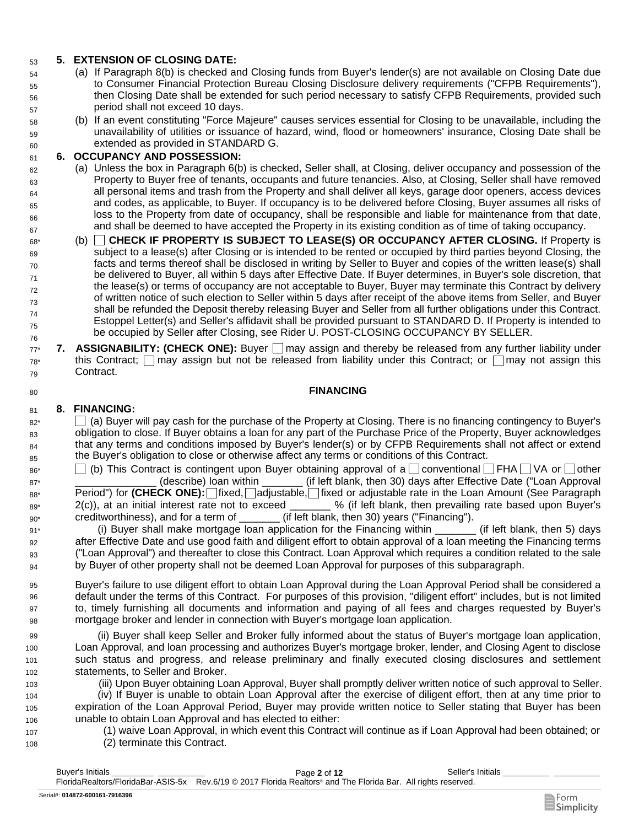## <sup>53</sup>**5. EXTENSION OF CLOSING DATE:**

58 59 60

87\*

- (a) If Paragraph 8(b) is checked and Closing funds from Buyer's lender(s) are not available on Closing Date due to Consumer Financial Protection Bureau Closing Disclosure delivery requirements ("CFPB Requirements"), then Closing Date shall be extended for such period necessary to satisfy CFPB Requirements, provided such period shall not exceed 10 days.
	- (b) If an event constituting "Force Majeure" causes services essential for Closing to be unavailable, including the unavailability of utilities or issuance of hazard, wind, flood or homeowners' insurance, Closing Date shall be extended as provided in STANDARD G.

## <sup>61</sup>**6. OCCUPANCY AND POSSESSION:**

- (a) Unless the box in Paragraph 6(b) is checked, Seller shall, at Closing, deliver occupancy and possession of the Property to Buyer free of tenants, occupants and future tenancies. Also, at Closing, Seller shall have removed all personal items and trash from the Property and shall deliver all keys, garage door openers, access devices and codes, as applicable, to Buyer. If occupancy is to be delivered before Closing, Buyer assumes all risks of loss to the Property from date of occupancy, shall be responsible and liable for maintenance from that date, and shall be deemed to have accepted the Property in its existing condition as of time of taking occupancy.
	- (b) **CHECK IF PROPERTY IS SUBJECT TO LEASE(S) OR OCCUPANCY AFTER CLOSING.** If Property is subject to a lease(s) after Closing or is intended to be rented or occupied by third parties beyond Closing, the facts and terms thereof shall be disclosed in writing by Seller to Buyer and copies of the written lease(s) shall be delivered to Buyer, all within 5 days after Effective Date. If Buyer determines, in Buyer's sole discretion, that the lease(s) or terms of occupancy are not acceptable to Buyer, Buyer may terminate this Contract by delivery of written notice of such election to Seller within 5 days after receipt of the above items from Seller, and Buyer shall be refunded the Deposit thereby releasing Buyer and Seller from all further obligations under this Contract. Estoppel Letter(s) and Seller's affidavit shall be provided pursuant to STANDARD D. If Property is intended to be occupied by Seller after Closing, see Rider U. POST-CLOSING OCCUPANCY BY SELLER.
- **7. ASSIGNABILITY: (CHECK ONE):** Buyer  $\Box$  may assign and thereby be released from any further liability under this Contract;  $\Box$  may assign but not be released from liability under this Contract; or  $\Box$  may not assign this Contract. 77\* 78\* 79

## 80**FINANCING**

## <sup>81</sup>**8. FINANCING:**

- $\Box$  (a) Buyer will pay cash for the purchase of the Property at Closing. There is no financing contingency to Buyer's obligation to close. If Buyer obtains a loan for any part of the Purchase Price of the Property, Buyer acknowledges that any terms and conditions imposed by Buyer's lender(s) or by CFPB Requirements shall not affect or extend the Buyer's obligation to close or otherwise affect any terms or conditions of this Contract.
- $\Box$  (b) This Contract is contingent upon Buyer obtaining approval of a  $\Box$  conventional  $\Box$  FHA  $\Box$  VA or  $\Box$ other \_\_\_\_\_\_\_\_\_\_\_\_\_\_ (describe) loan within \_\_\_\_\_\_\_ (if left blank, then 30) days after Effective Date ("Loan Approval Period") for (CHECK ONE):  $\Box$  fixed,  $\Box$  adjustable,  $\Box$  fixed or adjustable rate in the Loan Amount (See Paragraph 2(c)), at an initial interest rate not to exceed \_\_\_\_\_\_\_ % (if left blank, then prevailing rate based upon Buyer's creditworthiness), and for a term of \_\_\_\_\_\_\_ (if left blank, then 30) years ("Financing").  $86*$ 88\* 89\* 90\*

(i) Buyer shall make mortgage loan application for the Financing within \_\_\_\_\_\_\_ (if left blank, then 5) days after Effective Date and use good faith and diligent effort to obtain approval of a loan meeting the Financing terms ("Loan Approval") and thereafter to close this Contract. Loan Approval which requires a condition related to the sale by Buyer of other property shall not be deemed Loan Approval for purposes of this subparagraph. 91\* 92 93 94

- Buyer's failure to use diligent effort to obtain Loan Approval during the Loan Approval Period shall be considered a default under the terms of this Contract. For purposes of this provision, "diligent effort" includes, but is not limited to, timely furnishing all documents and information and paying of all fees and charges requested by Buyer's mortgage broker and lender in connection with Buyer's mortgage loan application. 95 96 97 98
- (ii) Buyer shall keep Seller and Broker fully informed about the status of Buyer's mortgage loan application, Loan Approval, and loan processing and authorizes Buyer's mortgage broker, lender, and Closing Agent to disclose such status and progress, and release preliminary and finally executed closing disclosures and settlement statements, to Seller and Broker. 99 100 101 102
- <sup>103</sup> (iii) Upon Buyer obtaining Loan Approval, Buyer shall promptly deliver written notice of such approval to Seller.
- (iv) If Buyer is unable to obtain Loan Approval after the exercise of diligent effort, then at any time prior to expiration of the Loan Approval Period, Buyer may provide written notice to Seller stating that Buyer has been unable to obtain Loan Approval and has elected to either: 104 105 106
- <sup>107</sup> (1) waive Loan Approval, in which event this Contract will continue as if Loan Approval had been obtained; or <sup>108</sup> (2) terminate this Contract.



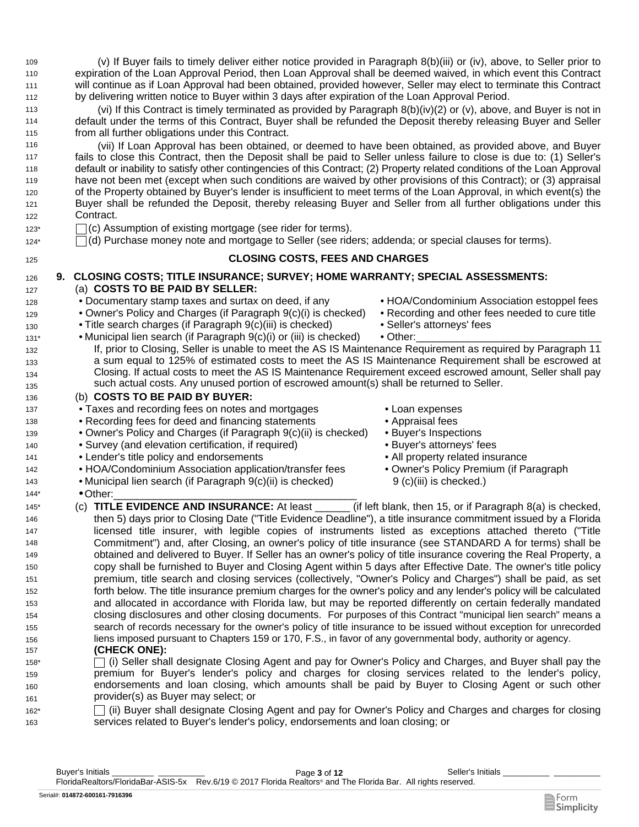| 109    | (v) If Buyer fails to timely deliver either notice provided in Paragraph 8(b)(iii) or (iv), above, to Seller prior to                                                                                      |  |
|--------|------------------------------------------------------------------------------------------------------------------------------------------------------------------------------------------------------------|--|
| 110    | expiration of the Loan Approval Period, then Loan Approval shall be deemed waived, in which event this Contract                                                                                            |  |
| 111    | will continue as if Loan Approval had been obtained, provided however, Seller may elect to terminate this Contract                                                                                         |  |
| 112    | by delivering written notice to Buyer within 3 days after expiration of the Loan Approval Period.                                                                                                          |  |
| 113    | (vi) If this Contract is timely terminated as provided by Paragraph 8(b)(iv)(2) or (v), above, and Buyer is not in                                                                                         |  |
| 114    | default under the terms of this Contract, Buyer shall be refunded the Deposit thereby releasing Buyer and Seller                                                                                           |  |
| 115    | from all further obligations under this Contract.                                                                                                                                                          |  |
| 116    | (vii) If Loan Approval has been obtained, or deemed to have been obtained, as provided above, and Buyer                                                                                                    |  |
| 117    | fails to close this Contract, then the Deposit shall be paid to Seller unless failure to close is due to: (1) Seller's                                                                                     |  |
| 118    | default or inability to satisfy other contingencies of this Contract; (2) Property related conditions of the Loan Approval                                                                                 |  |
| 119    | have not been met (except when such conditions are waived by other provisions of this Contract); or (3) appraisal                                                                                          |  |
| 120    | of the Property obtained by Buyer's lender is insufficient to meet terms of the Loan Approval, in which event(s) the                                                                                       |  |
| 121    | Buyer shall be refunded the Deposit, thereby releasing Buyer and Seller from all further obligations under this                                                                                            |  |
| 122    | Contract.                                                                                                                                                                                                  |  |
| $123*$ | $\overline{a}$ (c) Assumption of existing mortgage (see rider for terms).                                                                                                                                  |  |
| $124*$ | $\overline{\phantom{a}}$ (d) Purchase money note and mortgage to Seller (see riders; addenda; or special clauses for terms).                                                                               |  |
| 125    | <b>CLOSING COSTS, FEES AND CHARGES</b>                                                                                                                                                                     |  |
| 126    | 9. CLOSING COSTS; TITLE INSURANCE; SURVEY; HOME WARRANTY; SPECIAL ASSESSMENTS:                                                                                                                             |  |
| 127    | (a) COSTS TO BE PAID BY SELLER:                                                                                                                                                                            |  |
| 128    | • Documentary stamp taxes and surtax on deed, if any<br>• HOA/Condominium Association estoppel fees                                                                                                        |  |
| 129    | • Owner's Policy and Charges (if Paragraph 9(c)(i) is checked)<br>• Recording and other fees needed to cure title                                                                                          |  |
| 130    | • Title search charges (if Paragraph 9(c)(iii) is checked)<br>• Seller's attorneys' fees                                                                                                                   |  |
| $131*$ | • Municipal lien search (if Paragraph 9(c)(i) or (iii) is checked)<br>• Other:                                                                                                                             |  |
| 132    | If, prior to Closing, Seller is unable to meet the AS IS Maintenance Requirement as required by Paragraph 11                                                                                               |  |
| 133    | a sum equal to 125% of estimated costs to meet the AS IS Maintenance Requirement shall be escrowed at                                                                                                      |  |
| 134    | Closing. If actual costs to meet the AS IS Maintenance Requirement exceed escrowed amount, Seller shall pay                                                                                                |  |
| 135    | such actual costs. Any unused portion of escrowed amount(s) shall be returned to Seller.                                                                                                                   |  |
| 136    | (b) COSTS TO BE PAID BY BUYER:                                                                                                                                                                             |  |
| 137    | • Taxes and recording fees on notes and mortgages<br>• Loan expenses                                                                                                                                       |  |
| 138    | • Recording fees for deed and financing statements<br>• Appraisal fees                                                                                                                                     |  |
| 139    | • Owner's Policy and Charges (if Paragraph 9(c)(ii) is checked)<br>• Buyer's Inspections                                                                                                                   |  |
| 140    | • Survey (and elevation certification, if required)<br>• Buyer's attorneys' fees                                                                                                                           |  |
| 141    | • Lender's title policy and endorsements<br>• All property related insurance                                                                                                                               |  |
| 142    | · Owner's Policy Premium (if Paragraph<br>• HOA/Condominium Association application/transfer fees                                                                                                          |  |
| 143    | • Municipal lien search (if Paragraph 9(c)(ii) is checked)<br>9 (c)(iii) is checked.)                                                                                                                      |  |
| $144*$ | •Other:                                                                                                                                                                                                    |  |
| $145*$ | (c) TITLE EVIDENCE AND INSURANCE: At least ______ (if left blank, then 15, or if Paragraph 8(a) is checked,                                                                                                |  |
| 146    | then 5) days prior to Closing Date ("Title Evidence Deadline"), a title insurance commitment issued by a Florida                                                                                           |  |
| 147    | licensed title insurer, with legible copies of instruments listed as exceptions attached thereto ("Title                                                                                                   |  |
| 148    | Commitment") and, after Closing, an owner's policy of title insurance (see STANDARD A for terms) shall be                                                                                                  |  |
| 149    | obtained and delivered to Buyer. If Seller has an owner's policy of title insurance covering the Real Property, a                                                                                          |  |
| 150    | copy shall be furnished to Buyer and Closing Agent within 5 days after Effective Date. The owner's title policy                                                                                            |  |
| 151    | premium, title search and closing services (collectively, "Owner's Policy and Charges") shall be paid, as set                                                                                              |  |
| 152    | forth below. The title insurance premium charges for the owner's policy and any lender's policy will be calculated                                                                                         |  |
| 153    | and allocated in accordance with Florida law, but may be reported differently on certain federally mandated                                                                                                |  |
| 154    | closing disclosures and other closing documents. For purposes of this Contract "municipal lien search" means a                                                                                             |  |
| 155    | search of records necessary for the owner's policy of title insurance to be issued without exception for unrecorded                                                                                        |  |
| 156    | liens imposed pursuant to Chapters 159 or 170, F.S., in favor of any governmental body, authority or agency.                                                                                               |  |
| 157    | (CHECK ONE):                                                                                                                                                                                               |  |
| 158*   | (i) Seller shall designate Closing Agent and pay for Owner's Policy and Charges, and Buyer shall pay the                                                                                                   |  |
| 159    | premium for Buyer's lender's policy and charges for closing services related to the lender's policy,<br>endorsements and loan closing, which amounts shall be paid by Buyer to Closing Agent or such other |  |
| 160    | provider(s) as Buyer may select; or                                                                                                                                                                        |  |
| 161    |                                                                                                                                                                                                            |  |
| $162*$ | (ii) Buyer shall designate Closing Agent and pay for Owner's Policy and Charges and charges for closing<br>services related to Buyer's lender's policy, endorsements and loan closing; or                  |  |
| 163    |                                                                                                                                                                                                            |  |

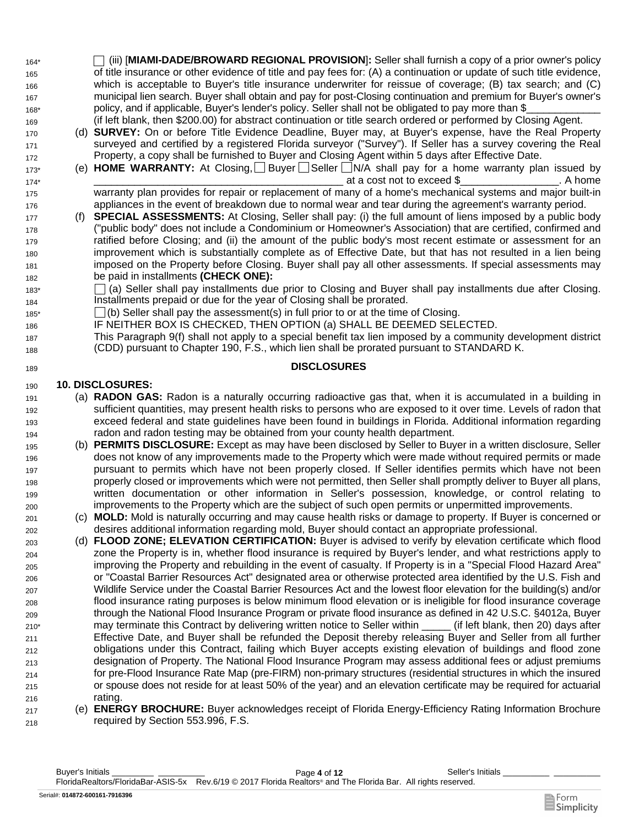- (iii) [**MIAMI-DADE/BROWARD REGIONAL PROVISION**]**:** Seller shall furnish a copy of a prior owner's policy of title insurance or other evidence of title and pay fees for: (A) a continuation or update of such title evidence, which is acceptable to Buyer's title insurance underwriter for reissue of coverage; (B) tax search; and (C) municipal lien search. Buyer shall obtain and pay for post-Closing continuation and premium for Buyer's owner's policy, and if applicable, Buyer's lender's policy. Seller shall not be obligated to pay more than \$
- (if left blank, then \$200.00) for abstract continuation or title search ordered or performed by Closing Agent. 169 (d) **SURVEY:** On or before Title Evidence Deadline, Buyer may, at Buyer's expense, have the Real Property surveyed and certified by a registered Florida surveyor ("Survey"). If Seller has a survey covering the Real Property, a copy shall be furnished to Buyer and Closing Agent within 5 days after Effective Date. 170 171 172
- (e) **HOME WARRANTY:** At Closing,  $\Box$  Buyer  $\Box$  Seller  $\Box$  N/A shall pay for a home warranty plan issued by at a cost not to exceed \$. warranty plan provides for repair or replacement of many of a home's mechanical systems and major built-in 173\* 174\* 175
- appliances in the event of breakdown due to normal wear and tear during the agreement's warranty period. 176 **SPECIAL ASSESSMENTS:** At Closing, Seller shall pay: (i) the full amount of liens imposed by a public body ("public body" does not include a Condominium or Homeowner's Association) that are certified, confirmed and ratified before Closing; and (ii) the amount of the public body's most recent estimate or assessment for an improvement which is substantially complete as of Effective Date, but that has not resulted in a lien being imposed on the Property before Closing. Buyer shall pay all other assessments. If special assessments may be paid in installments **(CHECK ONE):** 177 178 179 180 181 182
	- $\Box$  (a) Seller shall pay installments due prior to Closing and Buyer shall pay installments due after Closing. Installments prepaid or due for the year of Closing shall be prorated.
- $185^*$  (b) Seller shall pay the assessment(s) in full prior to or at the time of Closing.
- <sup>186</sup> IF NEITHER BOX IS CHECKED, THEN OPTION (a) SHALL BE DEEMED SELECTED.
	- This Paragraph 9(f) shall not apply to a special benefit tax lien imposed by a community development district (CDD) pursuant to Chapter 190, F.S., which lien shall be prorated pursuant to STANDARD K.

## <sup>189</sup> **DISCLOSURES**

## <sup>190</sup> **10. DISCLOSURES:**

164\* 165 166 167 168\*

183\* 184

187 188

201 202

- (a) **RADON GAS:** Radon is a naturally occurring radioactive gas that, when it is accumulated in a building in sufficient quantities, may present health risks to persons who are exposed to it over time. Levels of radon that exceed federal and state guidelines have been found in buildings in Florida. Additional information regarding radon and radon testing may be obtained from your county health department.
- (b) **PERMITS DISCLOSURE:** Except as may have been disclosed by Seller to Buyer in a written disclosure, Seller does not know of any improvements made to the Property which were made without required permits or made pursuant to permits which have not been properly closed. If Seller identifies permits which have not been properly closed or improvements which were not permitted, then Seller shall promptly deliver to Buyer all plans, written documentation or other information in Seller's possession, knowledge, or control relating to improvements to the Property which are the subject of such open permits or unpermitted improvements.
	- (c) **MOLD:** Mold is naturally occurring and may cause health risks or damage to property. If Buyer is concerned or desires additional information regarding mold, Buyer should contact an appropriate professional.
- (d) **FLOOD ZONE; ELEVATION CERTIFICATION:** Buyer is advised to verify by elevation certificate which flood zone the Property is in, whether flood insurance is required by Buyer's lender, and what restrictions apply to improving the Property and rebuilding in the event of casualty. If Property is in a "Special Flood Hazard Area" or "Coastal Barrier Resources Act" designated area or otherwise protected area identified by the U.S. Fish and Wildlife Service under the Coastal Barrier Resources Act and the lowest floor elevation for the building(s) and/or flood insurance rating purposes is below minimum flood elevation or is ineligible for flood insurance coverage through the National Flood Insurance Program or private flood insurance as defined in 42 U.S.C. §4012a, Buyer may terminate this Contract by delivering written notice to Seller within (if left blank, then 20) days after Effective Date, and Buyer shall be refunded the Deposit thereby releasing Buyer and Seller from all further obligations under this Contract, failing which Buyer accepts existing elevation of buildings and flood zone designation of Property. The National Flood Insurance Program may assess additional fees or adjust premiums for pre-Flood Insurance Rate Map (pre-FIRM) non-primary structures (residential structures in which the insured or spouse does not reside for at least 50% of the year) and an elevation certificate may be required for actuarial rating. 210\*
- (e) **ENERGY BROCHURE:** Buyer acknowledges receipt of Florida Energy-Efficiency Rating Information Brochure required by Section 553.996, F.S. 217 218

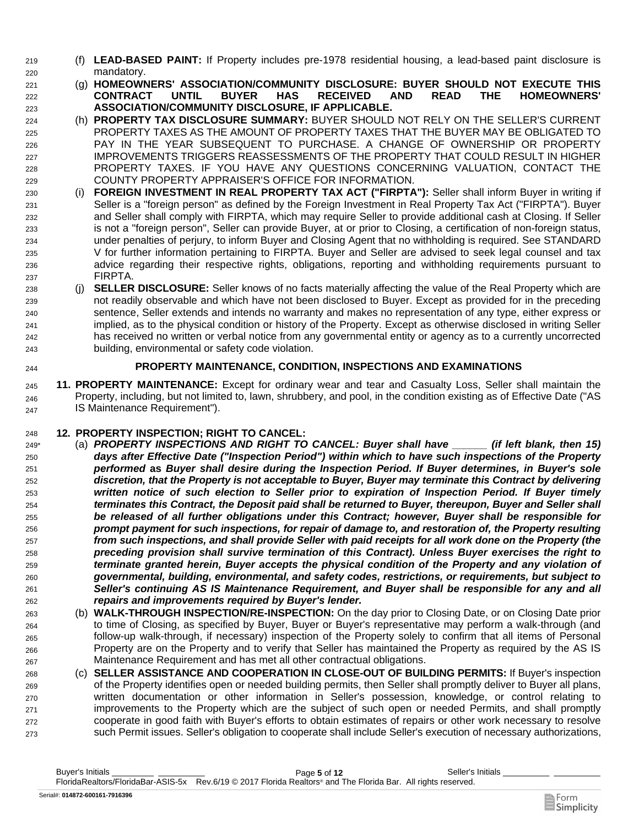- (f) **LEAD-BASED PAINT:** If Property includes pre-1978 residential housing, a lead-based paint disclosure is mandatory. 219 220
- (g) **HOMEOWNERS' ASSOCIATION/COMMUNITY DISCLOSURE: BUYER SHOULD NOT EXECUTE THIS CONTRACT UNTIL BUYER HAS RECEIVED AND READ THE HOMEOWNERS' ASSOCIATION/COMMUNITY DISCLOSURE, IF APPLICABLE.** 221 222 223
- (h) **PROPERTY TAX DISCLOSURE SUMMARY:** BUYER SHOULD NOT RELY ON THE SELLER'S CURRENT PROPERTY TAXES AS THE AMOUNT OF PROPERTY TAXES THAT THE BUYER MAY BE OBLIGATED TO PAY IN THE YEAR SUBSEQUENT TO PURCHASE. A CHANGE OF OWNERSHIP OR PROPERTY IMPROVEMENTS TRIGGERS REASSESSMENTS OF THE PROPERTY THAT COULD RESULT IN HIGHER PROPERTY TAXES. IF YOU HAVE ANY QUESTIONS CONCERNING VALUATION, CONTACT THE COUNTY PROPERTY APPRAISER'S OFFICE FOR INFORMATION. 224 225 226 227 228 229
- (i) **FOREIGN INVESTMENT IN REAL PROPERTY TAX ACT ("FIRPTA"):** Seller shall inform Buyer in writing if Seller is a "foreign person" as defined by the Foreign Investment in Real Property Tax Act ("FIRPTA"). Buyer and Seller shall comply with FIRPTA, which may require Seller to provide additional cash at Closing. If Seller is not a "foreign person", Seller can provide Buyer, at or prior to Closing, a certification of non-foreign status, under penalties of perjury, to inform Buyer and Closing Agent that no withholding is required. See STANDARD V for further information pertaining to FIRPTA. Buyer and Seller are advised to seek legal counsel and tax advice regarding their respective rights, obligations, reporting and withholding requirements pursuant to FIRPTA. 230 231 232 233 234 235 236 237
- (j) **SELLER DISCLOSURE:** Seller knows of no facts materially affecting the value of the Real Property which are not readily observable and which have not been disclosed to Buyer. Except as provided for in the preceding sentence, Seller extends and intends no warranty and makes no representation of any type, either express or implied, as to the physical condition or history of the Property. Except as otherwise disclosed in writing Seller has received no written or verbal notice from any governmental entity or agency as to a currently uncorrected building, environmental or safety code violation. 238 239 240 241 242 243

## <sup>244</sup> **PROPERTY MAINTENANCE, CONDITION, INSPECTIONS AND EXAMINATIONS**

**11. PROPERTY MAINTENANCE:** Except for ordinary wear and tear and Casualty Loss, Seller shall maintain the Property, including, but not limited to, lawn, shrubbery, and pool, in the condition existing as of Effective Date ("AS IS Maintenance Requirement"). 245 246 247

## <sup>248</sup> **12. .PROPERTY INSPECTION; RIGHT TO CANCEL:**

- (a) **PROPERTY INSPECTIONS AND RIGHT TO CANCEL: Buyer shall have** *(if left blank, then 15)**(a)**i days after Effective Date ("Inspection Period") within which to have such inspections of the Property performed* **as** *Buyer shall desire during the Inspection Period. If Buyer determines, in Buyer's sole discretion, that the Property is not acceptable to Buyer, Buyer may terminate this Contract by delivering written notice of such election to Seller prior to expiration of Inspection Period. If Buyer timely terminates this Contract, the Deposit paid shall be returned to Buyer, thereupon, Buyer and Seller shall be released of all further obligations under this Contract; however, Buyer shall be responsible for prompt payment for such inspections, for repair of damage to, and restoration of, the Property resulting*  from such inspections, and shall provide Seller with paid receipts for all work done on the Property (the *preceding provision shall survive termination of this Contract). Unless Buyer exercises the right to terminate granted herein, Buyer accepts the physical condition of the Property and any violation of governmental, building, environmental, and safety codes, restrictions, or requirements, but subject to Seller's continuing AS IS Maintenance Requirement, and Buyer shall be responsible for any and all repairs and improvements required by Buyer's lender.* 249\* 250 251 252 253 254 255 256 257 258 259 260 261 262
	- (b) **WALK-THROUGH INSPECTION/RE-INSPECTION:** On the day prior to Closing Date, or on Closing Date prior to time of Closing, as specified by Buyer, Buyer or Buyer's representative may perform a walk-through (and follow-up walk-through, if necessary) inspection of the Property solely to confirm that all items of Personal Property are on the Property and to verify that Seller has maintained the Property as required by the AS IS Maintenance Requirement and has met all other contractual obligations.
	- (c) **SELLER ASSISTANCE AND COOPERATION IN CLOSE-OUT OF BUILDING PERMITS:** If Buyer's inspection of the Property identifies open or needed building permits, then Seller shall promptly deliver to Buyer all plans, written documentation or other information in Seller's possession, knowledge, or control relating to improvements to the Property which are the subject of such open or needed Permits, and shall promptly cooperate in good faith with Buyer's efforts to obtain estimates of repairs or other work necessary to resolve such Permit issues. Seller's obligation to cooperate shall include Seller's execution of necessary authorizations,

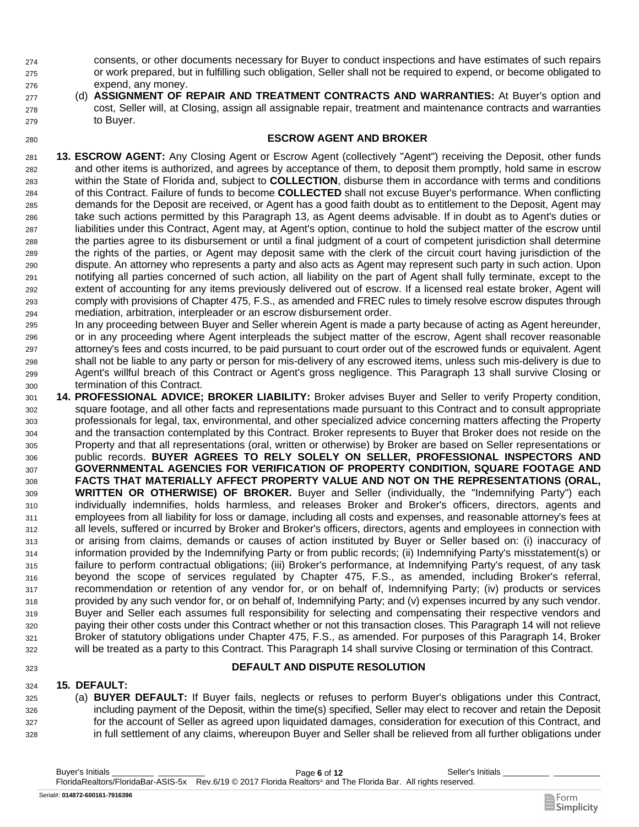- consents, or other documents necessary for Buyer to conduct inspections and have estimates of such repairs or work prepared, but in fulfilling such obligation, Seller shall not be required to expend, or become obligated to expend, any money. 274 275 276
- (d) **ASSIGNMENT OF REPAIR AND TREATMENT CONTRACTS AND WARRANTIES:** At Buyer's option and cost, Seller will, at Closing, assign all assignable repair, treatment and maintenance contracts and warranties to Buyer. 277 278 279

## <sup>280</sup> **ESCROW AGENT AND BROKER**

- **13. ESCROW AGENT:** Any Closing Agent or Escrow Agent (collectively "Agent") receiving the Deposit, other funds and other items is authorized, and agrees by acceptance of them, to deposit them promptly, hold same in escrow within the State of Florida and, subject to **COLLECTION**, disburse them in accordance with terms and conditions of this Contract. Failure of funds to become **COLLECTED** shall not excuse Buyer's performance. When conflicting demands for the Deposit are received, or Agent has a good faith doubt as to entitlement to the Deposit, Agent may take such actions permitted by this Paragraph 13, as Agent deems advisable. If in doubt as to Agent's duties or liabilities under this Contract, Agent may, at Agent's option, continue to hold the subject matter of the escrow until the parties agree to its disbursement or until a final judgment of a court of competent jurisdiction shall determine the rights of the parties, or Agent may deposit same with the clerk of the circuit court having jurisdiction of the dispute. An attorney who represents a party and also acts as Agent may represent such party in such action. Upon notifying all parties concerned of such action, all liability on the part of Agent shall fully terminate, except to the extent of accounting for any items previously delivered out of escrow. If a licensed real estate broker, Agent will comply with provisions of Chapter 475, F.S., as amended and FREC rules to timely resolve escrow disputes through mediation, arbitration, interpleader or an escrow disbursement order. 281 282 283 284 285 286 287 288 289 290 291 292 293 294
- In any proceeding between Buyer and Seller wherein Agent is made a party because of acting as Agent hereunder, or in any proceeding where Agent interpleads the subject matter of the escrow, Agent shall recover reasonable attorney's fees and costs incurred, to be paid pursuant to court order out of the escrowed funds or equivalent. Agent shall not be liable to any party or person for mis-delivery of any escrowed items, unless such mis-delivery is due to Agent's willful breach of this Contract or Agent's gross negligence. This Paragraph 13 shall survive Closing or termination of this Contract. 295 296 297 298 299 300
- **14. PROFESSIONAL ADVICE; BROKER LIABILITY:** Broker advises Buyer and Seller to verify Property condition, square footage, and all other facts and representations made pursuant to this Contract and to consult appropriate professionals for legal, tax, environmental, and other specialized advice concerning matters affecting the Property and the transaction contemplated by this Contract. Broker represents to Buyer that Broker does not reside on the Property and that all representations (oral, written or otherwise) by Broker are based on Seller representations or public records. **BUYER AGREES TO RELY SOLELY ON SELLER, PROFESSIONAL INSPECTORS AND GOVERNMENTAL AGENCIES FOR VERIFICATION OF PROPERTY CONDITION, SQUARE FOOTAGE AND FACTS THAT MATERIALLY AFFECT PROPERTY VALUE AND NOT ON THE REPRESENTATIONS (ORAL, WRITTEN OR OTHERWISE) OF BROKER.** Buyer and Seller (individually, the "Indemnifying Party") each individually indemnifies, holds harmless, and releases Broker and Broker's officers, directors, agents and employees from all liability for loss or damage, including all costs and expenses, and reasonable attorney's fees at all levels, suffered or incurred by Broker and Broker's officers, directors, agents and employees in connection with or arising from claims, demands or causes of action instituted by Buyer or Seller based on: (i) inaccuracy of information provided by the Indemnifying Party or from public records; (ii) Indemnifying Party's misstatement(s) or failure to perform contractual obligations; (iii) Broker's performance, at Indemnifying Party's request, of any task beyond the scope of services regulated by Chapter 475, F.S., as amended, including Broker's referral, recommendation or retention of any vendor for, or on behalf of, Indemnifying Party; (iv) products or services provided by any such vendor for, or on behalf of, Indemnifying Party; and (v) expenses incurred by any such vendor. Buyer and Seller each assumes full responsibility for selecting and compensating their respective vendors and paying their other costs under this Contract whether or not this transaction closes. This Paragraph 14 will not relieve Broker of statutory obligations under Chapter 475, F.S., as amended. For purposes of this Paragraph 14, Broker will be treated as a party to this Contract. This Paragraph 14 shall survive Closing or termination of this Contract. 301 302 303 304 305 306 307 308 309 310 311 312 313 314 315 316 317 318 319 320 321 322
- 

## <sup>323</sup> **DEFAULT AND DISPUTE RESOLUTION**

## <sup>324</sup> **15. .DEFAULT:**

(a) **BUYER DEFAULT:** If Buyer fails, neglects or refuses to perform Buyer's obligations under this Contract, including payment of the Deposit, within the time(s) specified, Seller may elect to recover and retain the Deposit for the account of Seller as agreed upon liquidated damages, consideration for execution of this Contract, and in full settlement of any claims, whereupon Buyer and Seller shall be relieved from all further obligations under 325 326 327 328

| Buyer's Initials | Page 6 of 12                                                                                                   | Seller's Initials |
|------------------|----------------------------------------------------------------------------------------------------------------|-------------------|
|                  | FloridaRealtors/FloridaBar-ASIS-5x Rev.6/19 © 2017 Florida Realtors® and The Florida Bar. All rights reserved. |                   |

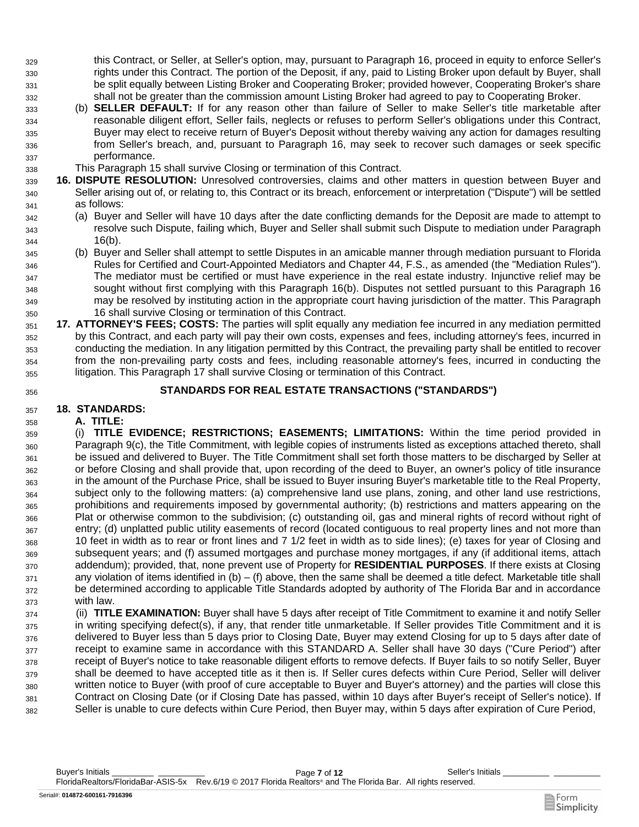this Contract, or Seller, at Seller's option, may, pursuant to Paragraph 16, proceed in equity to enforce Seller's rights under this Contract. The portion of the Deposit, if any, paid to Listing Broker upon default by Buyer, shall be split equally between Listing Broker and Cooperating Broker; provided however, Cooperating Broker's share shall not be greater than the commission amount Listing Broker had agreed to pay to Cooperating Broker. 329 330 331 332

(b) **SELLER DEFAULT:** If for any reason other than failure of Seller to make Seller's title marketable after reasonable diligent effort, Seller fails, neglects or refuses to perform Seller's obligations under this Contract, Buyer may elect to receive return of Buyer's Deposit without thereby waiving any action for damages resulting from Seller's breach, and, pursuant to Paragraph 16, may seek to recover such damages or seek specific performance. 333 334 335 336 337

<sup>338</sup> This Paragraph 15 shall survive Closing or termination of this Contract.

- **16. DISPUTE RESOLUTION:** Unresolved controversies, claims and other matters in question between Buyer and Seller arising out of, or relating to, this Contract or its breach, enforcement or interpretation ("Dispute") will be settled as follows: 339 340 341
- (a) Buyer and Seller will have 10 days after the date conflicting demands for the Deposit are made to attempt to resolve such Dispute, failing which, Buyer and Seller shall submit such Dispute to mediation under Paragraph 16(b). 342 343 344
- (b) Buyer and Seller shall attempt to settle Disputes in an amicable manner through mediation pursuant to Florida Rules for Certified and Court-Appointed Mediators and Chapter 44, F.S., as amended (the "Mediation Rules"). The mediator must be certified or must have experience in the real estate industry. Injunctive relief may be sought without first complying with this Paragraph 16(b). Disputes not settled pursuant to this Paragraph 16 may be resolved by instituting action in the appropriate court having jurisdiction of the matter. This Paragraph 16 shall survive Closing or termination of this Contract. 345 346 347 348 349 350
- **17. ATTORNEY'S FEES; COSTS:** The parties will split equally any mediation fee incurred in any mediation permitted by this Contract, and each party will pay their own costs, expenses and fees, including attorney's fees, incurred in conducting the mediation. In any litigation permitted by this Contract, the prevailing party shall be entitled to recover from the non-prevailing party costs and fees, including reasonable attorney's fees, incurred in conducting the litigation. This Paragraph 17 shall survive Closing or termination of this Contract. 351 352 353 354 355

## <sup>356</sup> **STANDARDS FOR REAL ESTATE TRANSACTIONS ("STANDARDS")**

## <sup>357</sup> **18. STANDARDS:**

## <sup>358</sup> **A. TITLE:**

(i) **TITLE EVIDENCE; RESTRICTIONS; EASEMENTS; LIMITATIONS:** Within the time period provided in Paragraph 9(c), the Title Commitment, with legible copies of instruments listed as exceptions attached thereto, shall be issued and delivered to Buyer. The Title Commitment shall set forth those matters to be discharged by Seller at or before Closing and shall provide that, upon recording of the deed to Buyer, an owner's policy of title insurance in the amount of the Purchase Price, shall be issued to Buyer insuring Buyer's marketable title to the Real Property, subject only to the following matters: (a) comprehensive land use plans, zoning, and other land use restrictions, prohibitions and requirements imposed by governmental authority; (b) restrictions and matters appearing on the Plat or otherwise common to the subdivision; (c) outstanding oil, gas and mineral rights of record without right of entry; (d) unplatted public utility easements of record (located contiguous to real property lines and not more than 10 feet in width as to rear or front lines and 7 1/2 feet in width as to side lines); (e) taxes for year of Closing and subsequent years; and (f) assumed mortgages and purchase money mortgages, if any (if additional items, attach addendum); provided, that, none prevent use of Property for **RESIDENTIAL PURPOSES**. If there exists at Closing any violation of items identified in  $(b) - (f)$  above, then the same shall be deemed a title defect. Marketable title shall be determined according to applicable Title Standards adopted by authority of The Florida Bar and in accordance with law. 359 360 361 362 363 364 365 366 367 368 369 370 371 372 373

(ii) **TITLE EXAMINATION:** Buyer shall have 5 days after receipt of Title Commitment to examine it and notify Seller in writing specifying defect(s), if any, that render title unmarketable. If Seller provides Title Commitment and it is delivered to Buyer less than 5 days prior to Closing Date, Buyer may extend Closing for up to 5 days after date of receipt to examine same in accordance with this STANDARD A. Seller shall have 30 days ("Cure Period") after receipt of Buyer's notice to take reasonable diligent efforts to remove defects. If Buyer fails to so notify Seller, Buyer shall be deemed to have accepted title as it then is. If Seller cures defects within Cure Period, Seller will deliver written notice to Buyer (with proof of cure acceptable to Buyer and Buyer's attorney) and the parties will close this Contract on Closing Date (or if Closing Date has passed, within 10 days after Buyer's receipt of Seller's notice). If Seller is unable to cure defects within Cure Period, then Buyer may, within 5 days after expiration of Cure Period, 374 375 376 377 378 379 380 381 382

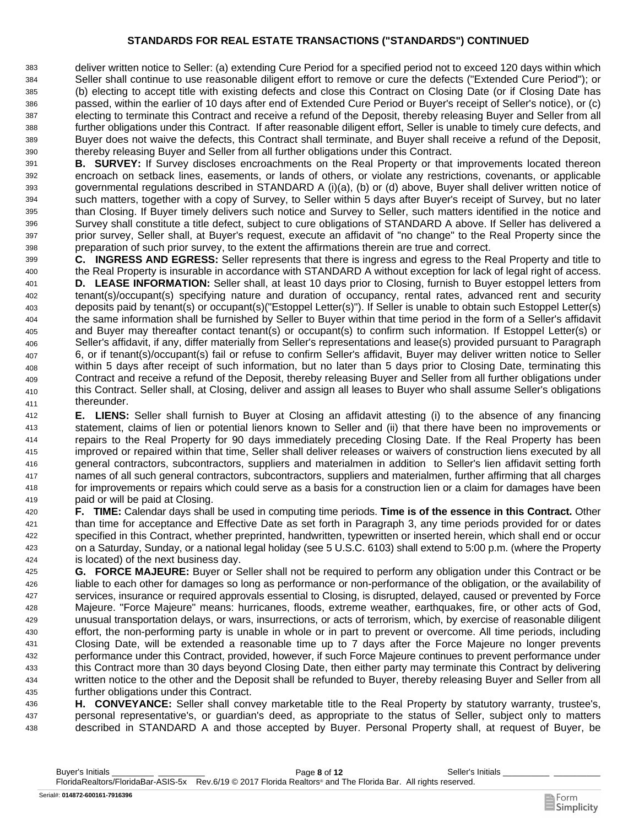deliver written notice to Seller: (a) extending Cure Period for a specified period not to exceed 120 days within which Seller shall continue to use reasonable diligent effort to remove or cure the defects ("Extended Cure Period"); or (b) electing to accept title with existing defects and close this Contract on Closing Date (or if Closing Date has passed, within the earlier of 10 days after end of Extended Cure Period or Buyer's receipt of Seller's notice), or (c) electing to terminate this Contract and receive a refund of the Deposit, thereby releasing Buyer and Seller from all further obligations under this Contract. If after reasonable diligent effort, Seller is unable to timely cure defects, and Buyer does not waive the defects, this Contract shall terminate, and Buyer shall receive a refund of the Deposit, thereby releasing Buyer and Seller from all further obligations under this Contract. 383 384 385 386 387 388 389 390

**B. SURVEY:** If Survey discloses encroachments on the Real Property or that improvements located thereon encroach on setback lines, easements, or lands of others, or violate any restrictions, covenants, or applicable governmental regulations described in STANDARD A (i)(a), (b) or (d) above, Buyer shall deliver written notice of such matters, together with a copy of Survey, to Seller within 5 days after Buyer's receipt of Survey, but no later than Closing. If Buyer timely delivers such notice and Survey to Seller, such matters identified in the notice and Survey shall constitute a title defect, subject to cure obligations of STANDARD A above. If Seller has delivered a prior survey, Seller shall, at Buyer's request, execute an affidavit of "no change" to the Real Property since the preparation of such prior survey, to the extent the affirmations therein are true and correct. 391 392 393 394 395 396 397 398

**C. INGRESS AND EGRESS:** Seller represents that there is ingress and egress to the Real Property and title to the Real Property is insurable in accordance with STANDARD A without exception for lack of legal right of access. 399 400 **D. LEASE INFORMATION:** Seller shall, at least 10 days prior to Closing, furnish to Buyer estoppel letters from tenant(s)/occupant(s) specifying nature and duration of occupancy, rental rates, advanced rent and security deposits paid by tenant(s) or occupant(s)("Estoppel Letter(s)"). If Seller is unable to obtain such Estoppel Letter(s) the same information shall be furnished by Seller to Buyer within that time period in the form of a Seller's affidavit and Buyer may thereafter contact tenant(s) or occupant(s) to confirm such information. If Estoppel Letter(s) or Seller's affidavit, if any, differ materially from Seller's representations and lease(s) provided pursuant to Paragraph 6, or if tenant(s)/occupant(s) fail or refuse to confirm Seller's affidavit, Buyer may deliver written notice to Seller within 5 days after receipt of such information, but no later than 5 days prior to Closing Date, terminating this Contract and receive a refund of the Deposit, thereby releasing Buyer and Seller from all further obligations under this Contract. Seller shall, at Closing, deliver and assign all leases to Buyer who shall assume Seller's obligations thereunder. 401 402 403 404 405 406 407 408 409 410 411

**E. LIENS:** Seller shall furnish to Buyer at Closing an affidavit attesting (i) to the absence of any financing statement, claims of lien or potential lienors known to Seller and (ii) that there have been no improvements or repairs to the Real Property for 90 days immediately preceding Closing Date. If the Real Property has been improved or repaired within that time, Seller shall deliver releases or waivers of construction liens executed by all general contractors, subcontractors, suppliers and materialmen in addition to Seller's lien affidavit setting forth names of all such general contractors, subcontractors, suppliers and materialmen, further affirming that all charges for improvements or repairs which could serve as a basis for a construction lien or a claim for damages have been paid or will be paid at Closing. 412 413 414 415 416 417 418 419

**F. TIME:** Calendar days shall be used in computing time periods. **Time is of the essence in this Contract.** Other than time for acceptance and Effective Date as set forth in Paragraph 3, any time periods provided for or dates specified in this Contract, whether preprinted, handwritten, typewritten or inserted herein, which shall end or occur on a Saturday, Sunday, or a national legal holiday (see 5 U.S.C. 6103) shall extend to 5:00 p.m. (where the Property is located) of the next business day. 420 421 422 423 424

**G. FORCE MAJEURE:** Buyer or Seller shall not be required to perform any obligation under this Contract or be liable to each other for damages so long as performance or non-performance of the obligation, or the availability of services, insurance or required approvals essential to Closing, is disrupted, delayed, caused or prevented by Force Majeure. "Force Majeure" means: hurricanes, floods, extreme weather, earthquakes, fire, or other acts of God, unusual transportation delays, or wars, insurrections, or acts of terrorism, which, by exercise of reasonable diligent effort, the non-performing party is unable in whole or in part to prevent or overcome. All time periods, including Closing Date, will be extended a reasonable time up to 7 days after the Force Majeure no longer prevents performance under this Contract, provided, however, if such Force Majeure continues to prevent performance under this Contract more than 30 days beyond Closing Date, then either party may terminate this Contract by delivering written notice to the other and the Deposit shall be refunded to Buyer, thereby releasing Buyer and Seller from all further obligations under this Contract. 425 426 427 428 429 430 431 432 433 434 435

**H. CONVEYANCE:** Seller shall convey marketable title to the Real Property by statutory warranty, trustee's, personal representative's, or guardian's deed, as appropriate to the status of Seller, subject only to matters described in STANDARD A and those accepted by Buyer. Personal Property shall, at request of Buyer, be 436 437 438

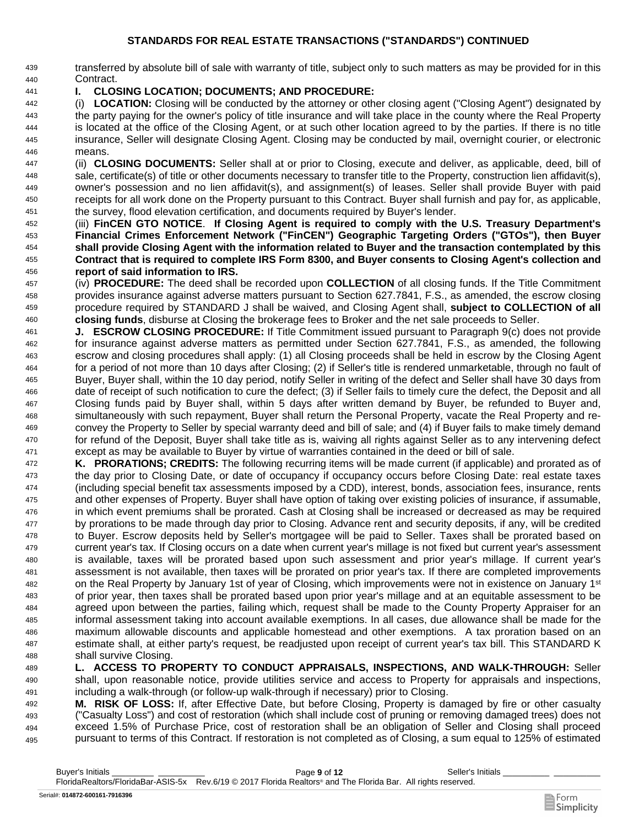transferred by absolute bill of sale with warranty of title, subject only to such matters as may be provided for in this Contract. 439 440

## <sup>441</sup> **I. CLOSING LOCATION; DOCUMENTS; AND PROCEDURE:**

(i) **LOCATION:** Closing will be conducted by the attorney or other closing agent ("Closing Agent") designated by the party paying for the owner's policy of title insurance and will take place in the county where the Real Property is located at the office of the Closing Agent, or at such other location agreed to by the parties. If there is no title insurance, Seller will designate Closing Agent. Closing may be conducted by mail, overnight courier, or electronic means. 442 443 444 445 446

(ii) **CLOSING DOCUMENTS:** Seller shall at or prior to Closing, execute and deliver, as applicable, deed, bill of sale, certificate(s) of title or other documents necessary to transfer title to the Property, construction lien affidavit(s), owner's possession and no lien affidavit(s), and assignment(s) of leases. Seller shall provide Buyer with paid receipts for all work done on the Property pursuant to this Contract. Buyer shall furnish and pay for, as applicable, the survey, flood elevation certification, and documents required by Buyer's lender. 447 448 449 450 451

- (iii) **FinCEN GTO NOTICE**. **If Closing Agent is required to comply with the U.S. Treasury Department's Financial Crimes Enforcement Network ("FinCEN") Geographic Targeting Orders ("GTOs"), then Buyer shall provide Closing Agent with the information related to Buyer and the transaction contemplated by this**  Contract that is required to complete IRS Form 8300, and Buyer consents to Closing Agent's collection and **report of said information to IRS.** 452 453 454 455 456
- (iv) **PROCEDURE:** The deed shall be recorded upon **COLLECTION** of all closing funds. If the Title Commitment provides insurance against adverse matters pursuant to Section 627.7841, F.S., as amended, the escrow closing procedure required by STANDARD J shall be waived, and Closing Agent shall, **subject to COLLECTION of all closing funds**, disburse at Closing the brokerage fees to Broker and the net sale proceeds to Seller. 457 458 459 460
- 461 462 463 464 465 466 467 468 469 470 471 **J. ESCROW CLOSING PROCEDURE:** If Title Commitment issued pursuant to Paragraph 9(c) does not provide for insurance against adverse matters as permitted under Section 627.7841, F.S., as amended, the following escrow and closing procedures shall apply: (1) all Closing proceeds shall be held in escrow by the Closing Agent for a period of not more than 10 days after Closing; (2) if Seller's title is rendered unmarketable, through no fault of Buyer, Buyer shall, within the 10 day period, notify Seller in writing of the defect and Seller shall have 30 days from date of receipt of such notification to cure the defect; (3) if Seller fails to timely cure the defect, the Deposit and all Closing funds paid by Buyer shall, within 5 days after written demand by Buyer, be refunded to Buyer and, simultaneously with such repayment, Buyer shall return the Personal Property, vacate the Real Property and reconvey the Property to Seller by special warranty deed and bill of sale; and (4) if Buyer fails to make timely demand for refund of the Deposit, Buyer shall take title as is, waiving all rights against Seller as to any intervening defect except as may be available to Buyer by virtue of warranties contained in the deed or bill of sale.
- **K. PRORATIONS; CREDITS:** The following recurring items will be made current (if applicable) and prorated as of the day prior to Closing Date, or date of occupancy if occupancy occurs before Closing Date: real estate taxes (including special benefit tax assessments imposed by a CDD), interest, bonds, association fees, insurance, rents and other expenses of Property. Buyer shall have option of taking over existing policies of insurance, if assumable, in which event premiums shall be prorated. Cash at Closing shall be increased or decreased as may be required by prorations to be made through day prior to Closing. Advance rent and security deposits, if any, will be credited to Buyer. Escrow deposits held by Seller's mortgagee will be paid to Seller. Taxes shall be prorated based on current year's tax. If Closing occurs on a date when current year's millage is not fixed but current year's assessment is available, taxes will be prorated based upon such assessment and prior year's millage. If current year's assessment is not available, then taxes will be prorated on prior year's tax. If there are completed improvements on the Real Property by January 1st of year of Closing, which improvements were not in existence on January 1st of prior year, then taxes shall be prorated based upon prior year's millage and at an equitable assessment to be agreed upon between the parties, failing which, request shall be made to the County Property Appraiser for an informal assessment taking into account available exemptions. In all cases, due allowance shall be made for the maximum allowable discounts and applicable homestead and other exemptions. A tax proration based on an estimate shall, at either party's request, be readjusted upon receipt of current year's tax bill. This STANDARD K shall survive Closing. 472 473 474 475 476 477 478 479 480 481 482 483 484 485 486 487 488

**L. ACCESS TO PROPERTY TO CONDUCT APPRAISALS, INSPECTIONS, AND WALK-THROUGH:** Seller shall, upon reasonable notice, provide utilities service and access to Property for appraisals and inspections, including a walk-through (or follow-up walk-through if necessary) prior to Closing. 489 490 491

**M. RISK OF LOSS:** If, after Effective Date, but before Closing, Property is damaged by fire or other casualty ("Casualty Loss") and cost of restoration (which shall include cost of pruning or removing damaged trees) does not exceed 1.5% of Purchase Price, cost of restoration shall be an obligation of Seller and Closing shall proceed pursuant to terms of this Contract. If restoration is not completed as of Closing, a sum equal to 125% of estimated 492 493 494 495

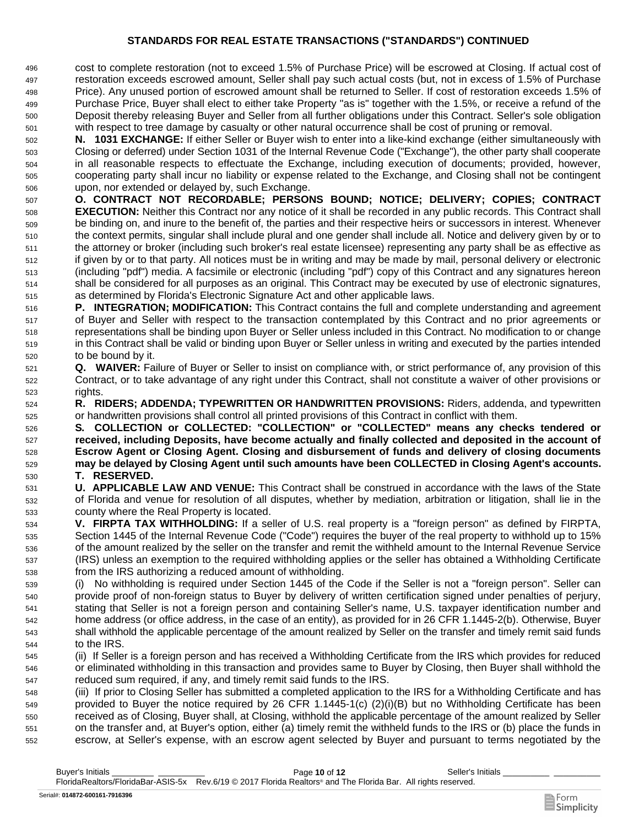cost to complete restoration (not to exceed 1.5% of Purchase Price) will be escrowed at Closing. If actual cost of restoration exceeds escrowed amount, Seller shall pay such actual costs (but, not in excess of 1.5% of Purchase Price). Any unused portion of escrowed amount shall be returned to Seller. If cost of restoration exceeds 1.5% of Purchase Price, Buyer shall elect to either take Property "as is" together with the 1.5%, or receive a refund of the Deposit thereby releasing Buyer and Seller from all further obligations under this Contract. Seller's sole obligation with respect to tree damage by casualty or other natural occurrence shall be cost of pruning or removal. 496 497 498 499 500 501

**N. 1031 EXCHANGE:** If either Seller or Buyer wish to enter into a like-kind exchange (either simultaneously with Closing or deferred) under Section 1031 of the Internal Revenue Code ("Exchange"), the other party shall cooperate in all reasonable respects to effectuate the Exchange, including execution of documents; provided, however, cooperating party shall incur no liability or expense related to the Exchange, and Closing shall not be contingent upon, nor extended or delayed by, such Exchange. 502 503 504 505 506

**O. CONTRACT NOT RECORDABLE; PERSONS BOUND; NOTICE; DELIVERY; COPIES; CONTRACT EXECUTION:** Neither this Contract nor any notice of it shall be recorded in any public records. This Contract shall be binding on, and inure to the benefit of, the parties and their respective heirs or successors in interest. Whenever the context permits, singular shall include plural and one gender shall include all. Notice and delivery given by or to the attorney or broker (including such broker's real estate licensee) representing any party shall be as effective as if given by or to that party. All notices must be in writing and may be made by mail, personal delivery or electronic (including "pdf") media. A facsimile or electronic (including "pdf") copy of this Contract and any signatures hereon shall be considered for all purposes as an original. This Contract may be executed by use of electronic signatures, as determined by Florida's Electronic Signature Act and other applicable laws. 507 508 509 510 511 512 513 514 515

**P. INTEGRATION; MODIFICATION:** This Contract contains the full and complete understanding and agreement of Buyer and Seller with respect to the transaction contemplated by this Contract and no prior agreements or representations shall be binding upon Buyer or Seller unless included in this Contract. No modification to or change in this Contract shall be valid or binding upon Buyer or Seller unless in writing and executed by the parties intended to be bound by it. 516 517 518 519 520

**Q. WAIVER:** Failure of Buyer or Seller to insist on compliance with, or strict performance of, any provision of this Contract, or to take advantage of any right under this Contract, shall not constitute a waiver of other provisions or rights. 521 522 523

**R. RIDERS; ADDENDA; TYPEWRITTEN OR HANDWRITTEN PROVISIONS:** Riders, addenda, and typewritten or handwritten provisions shall control all printed provisions of this Contract in conflict with them. 524 525

**S. COLLECTION or COLLECTED: "COLLECTION" or "COLLECTED" means any checks tendered or received, including Deposits, have become actually and finally collected and deposited in the account of Escrow Agent or Closing Agent. Closing and disbursement of funds and delivery of closing documents may be delayed by Closing Agent until such amounts have been COLLECTED in Closing Agent's accounts.** 526 527 528 529 <sup>530</sup> **T. RESERVED.**

**U. APPLICABLE LAW AND VENUE:** This Contract shall be construed in accordance with the laws of the State of Florida and venue for resolution of all disputes, whether by mediation, arbitration or litigation, shall lie in the county where the Real Property is located. 531 532 533

**V. FIRPTA TAX WITHHOLDING:** If a seller of U.S. real property is a "foreign person" as defined by FIRPTA, Section 1445 of the Internal Revenue Code ("Code") requires the buyer of the real property to withhold up to 15% of the amount realized by the seller on the transfer and remit the withheld amount to the Internal Revenue Service (IRS) unless an exemption to the required withholding applies or the seller has obtained a Withholding Certificate from the IRS authorizing a reduced amount of withholding. 534 535 536 537 538

(i) No withholding is required under Section 1445 of the Code if the Seller is not a "foreign person". Seller can provide proof of non-foreign status to Buyer by delivery of written certification signed under penalties of perjury, stating that Seller is not a foreign person and containing Seller's name, U.S. taxpayer identification number and home address (or office address, in the case of an entity), as provided for in 26 CFR 1.1445-2(b). Otherwise, Buyer shall withhold the applicable percentage of the amount realized by Seller on the transfer and timely remit said funds to the IRS. 539 540 541 542 543 544

(ii) If Seller is a foreign person and has received a Withholding Certificate from the IRS which provides for reduced or eliminated withholding in this transaction and provides same to Buyer by Closing, then Buyer shall withhold the reduced sum required, if any, and timely remit said funds to the IRS. 545 546 547

(iii) If prior to Closing Seller has submitted a completed application to the IRS for a Withholding Certificate and has provided to Buyer the notice required by 26 CFR 1.1445-1(c) (2)(i)(B) but no Withholding Certificate has been received as of Closing, Buyer shall, at Closing, withhold the applicable percentage of the amount realized by Seller on the transfer and, at Buyer's option, either (a) timely remit the withheld funds to the IRS or (b) place the funds in escrow, at Seller's expense, with an escrow agent selected by Buyer and pursuant to terms negotiated by the 548 549 550 551 552

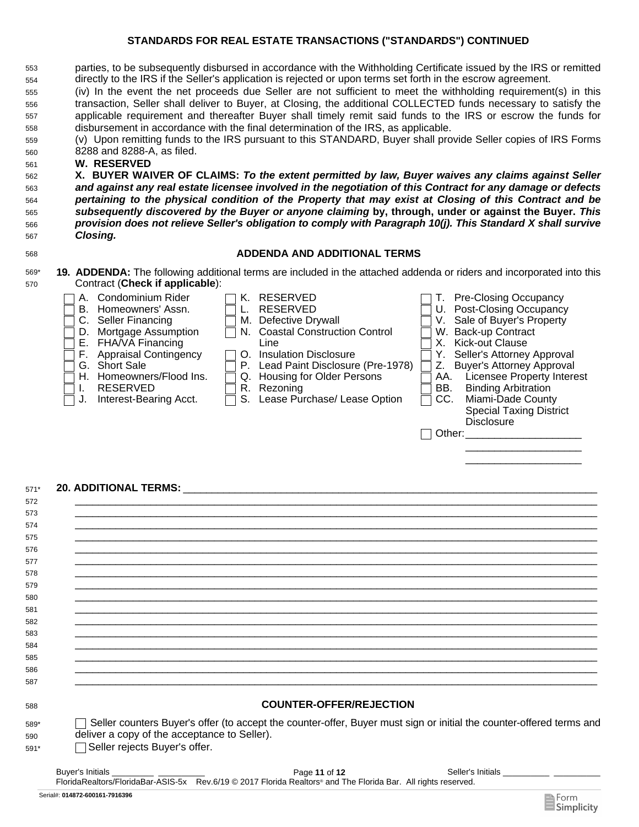- parties, to be subsequently disbursed in accordance with the Withholding Certificate issued by the IRS or remitted directly to the IRS if the Seller's application is rejected or upon terms set forth in the escrow agreement. 553 554
- (iv) In the event the net proceeds due Seller are not sufficient to meet the withholding requirement(s) in this transaction, Seller shall deliver to Buyer, at Closing, the additional COLLECTED funds necessary to satisfy the applicable requirement and thereafter Buyer shall timely remit said funds to the IRS or escrow the funds for disbursement in accordance with the final determination of the IRS, as applicable. 555 556 557 558
- (v) Upon remitting funds to the IRS pursuant to this STANDARD, Buyer shall provide Seller copies of IRS Forms 8288 and 8288-A, as filed. 559 560

## <sup>561</sup> **W. RESERVED**

**X. BUYER WAIVER OF CLAIMS:** *To the extent permitted by law, Buyer waives any claims against Seller and against any real estate licensee involved in the negotiation of this Contract for any damage or defects pertaining to the physical condition of the Property that may exist at Closing of this Contract and be subsequently discovered by the Buyer or anyone claiming* **by, through, under or against the Buyer.** *This provision does not relieve Seller's obligation to comply with Paragraph 10(j). This Standard X shall survive Closing.* 562 563 564 565 566 567

## <sup>568</sup> **ADDENDA AND ADDITIONAL TERMS**

- **19. ADDENDA:** The following additional terms are included in the attached addenda or riders and incorporated into this Contract (**Check if applicable**): 569\* 570
	- A. Condominium Rider B. Homeowners' Assn. C. Seller Financing D. Mortgage Assumption E. FHA/VA Financing F. Appraisal Contingency G. Short Sale H. Homeowners/Flood Ins. I. K. RESERVED L. RESERVED M. Defective Drywall N. Coastal Construction Control Line RESERVED
		- J. Interest-Bearing Acct.
- 
- O. Insulation Disclosure
- P. Lead Paint Disclosure (Pre-1978)
- Q. Housing for Older Persons
- R. Rezoning
- S. Lease Purchase/ Lease Option
- T. U. Post-Closing Occupancy V. Sale of Buyer's Property W. Back-up Contract X. Kick-out Clause Y. Seller's Attorney Approval Z. AA. BB. CC. Pre-Closing Occupancy Buyer's Attorney Approval Licensee Property Interest Binding Arbitration  $\Box$  Other: \_\_\_\_\_\_\_\_\_\_\_\_\_\_\_\_\_\_\_\_ \_\_\_\_\_\_\_\_\_\_\_\_\_\_\_\_\_\_\_\_ \_\_\_\_\_\_\_\_\_\_\_\_\_\_\_\_\_\_\_\_ Miami-Dade County Special Taxing District **Disclosure**

| 571*        |                                                                                                                                                                      |
|-------------|----------------------------------------------------------------------------------------------------------------------------------------------------------------------|
| 572         |                                                                                                                                                                      |
| 573         |                                                                                                                                                                      |
| 574         |                                                                                                                                                                      |
| 575         |                                                                                                                                                                      |
| 576         |                                                                                                                                                                      |
| 577         |                                                                                                                                                                      |
| 578         |                                                                                                                                                                      |
| 579         |                                                                                                                                                                      |
| 580         |                                                                                                                                                                      |
| 581         |                                                                                                                                                                      |
| 582         |                                                                                                                                                                      |
| 583         |                                                                                                                                                                      |
| 584         |                                                                                                                                                                      |
| 585         |                                                                                                                                                                      |
| 586         |                                                                                                                                                                      |
| 587         |                                                                                                                                                                      |
| 588         | <b>COUNTER-OFFER/REJECTION</b>                                                                                                                                       |
| 589*<br>590 | Seller counters Buyer's offer (to accept the counter-offer, Buyer must sign or initial the counter-offered terms and<br>deliver a copy of the acceptance to Seller). |
| 591*        | Seller rejects Buyer's offer.                                                                                                                                        |
|             |                                                                                                                                                                      |